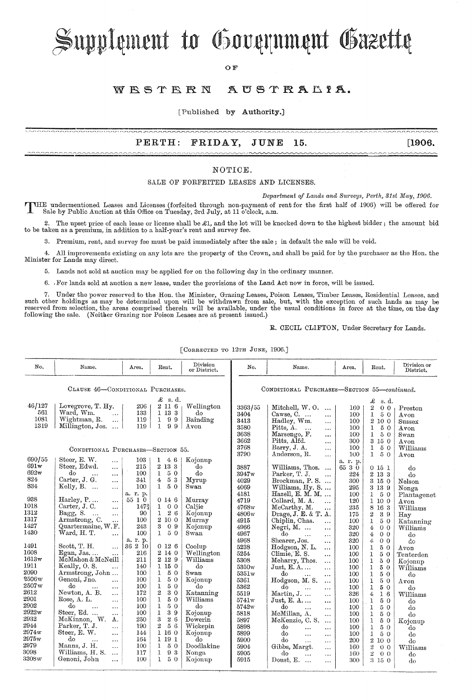# Supplement to Government Gazette

**OF** 

#### AUSTRALIA. WESTERN

[Published by **Authority.]** 

#### **PERTH: FRIDAY, JUNE 15. [1906.**

#### NOTIOE.

#### SALE OF FORFEITED LEASES AND LICENSES.

*Department of Lands and Surveys, Perth, 31st May, 1906.* 

T HE undermentioned Leases and Licenses (forfeited through non-payment of rent for the first half of 1906) will be offered for Sale by Public Auction at this Office on Tuesday, 3rd July, at 11 o'clock, a.m.

2. The upset price of each lease or license shall be £1, and the lot will be knocked down to the highest bidder; the amount bid to be taken as a premium, in addition to a half-year's rent and survey fee.

8. Premium, rent, and survey fee must be paid immediately after the sale; in default the sale will be void.

4. All improvements existing on any lots are the property of the Crown, and shall be paid for by the purchaser as the Hon. the Minister for Lands may direct.

5. Lands not sold at auction may be applied for on the following day in the ordinary manner.

6. For lands sold at auction a new lease, under the provisions of the Land Act now in force, will be issued.

7. Under the power reserved to the Hon. the Minister, Grazing Leases, Poison Leases, Timber Leases, Residential Leases, and such other holdings as may be determined upon will be withdrawn from sale, but, with the exception reserved from selection, the areas comprised therein will be available, under the usual conditions in force at the time, on the day following the sale. (Neither Grazing nor Poison Leases are at present issued.)

R. CECIL CLIFTON, Under Secretary for Lands.

| No,                               | Name.                              | Area.    | Rent.                  | Division<br>or District. | No.                                         | Name.                             | Area.            | Rent.                            | Division or<br>District. |
|-----------------------------------|------------------------------------|----------|------------------------|--------------------------|---------------------------------------------|-----------------------------------|------------------|----------------------------------|--------------------------|
| CLAUSE 46-CONDITIONAL PURCHASES.  |                                    |          |                        |                          | CONDITIONAL PURCHASES-SECTION 55-continued. |                                   |                  |                                  |                          |
| $\mathcal{L}$ s.d.                |                                    |          |                        |                          | £<br>s.d.                                   |                                   |                  |                                  |                          |
| 46/127                            | Lovegrove, T. Hy.                  | 206      | 2 11 6                 | Wellington               | 3363/55                                     | Mitchell, W.O.<br>$\cdots$        | 160              | $\overline{2}$<br>0 <sub>0</sub> | Preston                  |
| 561                               | Ward, Wm.<br>$\sim$                | 133      | 1 13 3                 | do                       | 3404                                        | Cawse, C.<br>$\cdots$             | 100              | 1<br>50                          | Avon                     |
| 1081                              | Wightman, R.<br>$\cdots$           | 119      | 1<br>99                | Bainding                 | 3413                                        | Hadley, Wm.<br>$\cdots$           | 100              | 2 10 0                           | Sussex                   |
| 1319                              | Millington, Jos.                   | 119      | $\mathbf{1}$<br>9<br>9 | Avon                     | 3580                                        | Pitts, A.<br>$\cdots$<br>$\cdots$ | 100              | 50<br>1                          | Avon                     |
|                                   |                                    |          |                        |                          | 3638                                        | Marsengo, F.<br>$\cdots$          | 100              | $\mathbf{1}$<br>50               | Swan                     |
|                                   |                                    |          |                        |                          | 3662                                        | Pitts, Alfd.<br>$\cdots$          | 300              | 3 15 0                           | Avon                     |
|                                   |                                    |          |                        |                          | 3768                                        | Barry, J. A.<br>$\cdots$          | 100              | 50<br>1                          | Williams                 |
| CONDITIONAL PURCHASES-SECTION 55. |                                    |          |                        |                          | 3790                                        | Anderson, R.<br>$\cdots$          | 100              | $\mathbf{I}$<br>50               | Avon                     |
| 690/55                            | Steer, E. W.<br>$\cdots$           | 103      | 46<br>ı                | Kojonup                  |                                             |                                   | a. r. p.         |                                  |                          |
| 691w                              | Steer, Edwd.<br>$\ddotsc$          | 215      | 2 13 3                 | do                       | 3887                                        | Williams, Thos.<br>$\cdots$       | 65<br>$3\bar{0}$ | 0151                             | do                       |
| 692w                              | do<br>.<br>$\cdots$                | 100      | 50<br>1                | do                       | 3947w                                       | Parker, T. J.<br>$\ddotsc$        | 224              | 2 13 3                           | do                       |
| 824                               | Carter, J. G.<br>$\cdots$          | 341      | 53<br>$\overline{4}$   | Myrup                    | 4029                                        | Brockman, P. S.                   | 300              | 3 15 0                           | Nelson                   |
| 834                               | Kelly, B.<br>$\sim$<br>$\cdots$    | 100      | 50<br>1                | Swan                     | 4069                                        | Williams, Hy. S.                  | 295              | 3 13 9                           | Nonga                    |
|                                   |                                    | a. r. p. |                        |                          | 4181                                        | Hazell, E. M. M. $\dots$          | 100              | 5 0<br>1                         | Plantagenet              |
| 938                               | Harley, P<br>$\cdots$              | 55 1 0   | 0146                   | Murray                   | 4719                                        | Collard, M. A.<br>$\cdots$        | 120              | 1100                             | Avon                     |
| 1018                              | Carter, J.C.<br>$\cdots$           | 1473     | 0 <sub>0</sub><br>1    | Caliie                   | 4768w                                       | McCarthy, M.<br>$\cdots$          | 235              | 8 16 3                           | Williams                 |
| 1312                              | Bagg, S.<br>$\ddotsc$<br>$\ddotsc$ | 90       | 26<br>1                | Kojonup                  | 4806w                                       | Drage, J. E. & T. A.              | 175              | 2<br>39                          | Hay                      |
| 1317                              | Armstrong, C.<br>$\cdots$          | 100      | 2 10 0                 | Murray                   | 4915                                        | Chiplin, Chas.<br>$\cdots$        | 100              | $\mathbf{I}$<br>50               | Katanning                |
| 1427                              | Quartermaine, W.F.                 | 243      | 3<br>09                | Kojonup                  | 4966                                        | Negri, M.<br>$\cdots$             | 320              | 0 <sub>0</sub><br>4              | Williams                 |
| 1430                              | Ward, H. T.<br>$\ddotsc$           | 100      | 50<br>$\mathbf{1}$     | Swan                     | 4967                                        | do<br>$\cdots$<br>$\cdots$        | 320              | 0 <sub>0</sub><br>4              | do                       |
|                                   |                                    | a. r. p. |                        |                          | 4968                                        | Shearer, Jos.<br>$\cdots$         | 320              | 0 <sub>0</sub><br>4              | do                       |
| 1491                              | Scott, T. H.<br>$\ddotsc$          | 36 2 10  | 0126                   | Coolup                   | 5238                                        | Hodgson, N. L.<br>.               | 100              | 1<br>5 0                         | Avon                     |
| 1608                              | $Egan, Jas, \ldots$<br>$\ddotsc$   | 216      | 2140                   | Wellington               | 5254                                        | Climie, E. S.<br>.                | 100              | 1<br>50                          | Tenterden                |
| 1613w                             | McMahon & McNeill                  | 211      | 2 1 2 9                | Williams                 | 5308                                        | Meharry, Thos.<br>                | 100              | $\mathbf{1}$<br>50               | Kojonup                  |
| 1911                              | Keally, O.S.<br>$\ddotsc$          | 140      | 1150                   | do                       | 5350 <sub>w</sub>                           | Just. E. $A$<br>$\overline{a}$    | 100              | 1<br>50                          | Williams                 |
| 2090                              | Armstrong, John                    | 100      | 1<br>50                | Swan                     | 5351w                                       | do<br>$\cdots$<br>.               | 100              | $\mathbf{1}$<br>50               | do                       |
| 2506w                             | Genoni, Jno.<br>$\cdots$           | 100      | $\mathbf{1}$<br>50     | Kojonup                  | 5361                                        | Hodgson, M.S.<br>$\ddotsc$        | 100              | 50<br>$\mathbf{1}$               | $_{\rm Avon}$            |
| 2507w                             | do<br>$\cdots$<br>$\cdots$         | 100      | 1<br>5 0               | do                       | 5362                                        | do<br>$\cdots$<br>$\cdots$        | 100              | 50<br>1                          | do                       |
| 2612                              | Newton, A. B.<br>$\cdots$          | 172      | $\overline{2}$<br>30   | Katanning                | 5519                                        | Martin, $J. \ldots$<br>$\cdots$   | 326              | 16<br>4                          | Williams                 |
| 2901                              | Rose, A. L.<br>$\cdots$            | 100      | $\mathbf 1$<br>50      | Williams                 | 5741w                                       | Just, E. $A$<br>                  | 100              | 50<br>1                          | do                       |
| 2902                              | do<br>$\cdots$<br>$\ddotsc$        | 100      | 1<br>50                | do                       | 5742w                                       | do<br><br>$\cdots$                | 100              | $\mathbf{1}$<br>50               | do                       |
| 2922w                             | Steer, Ed.<br>$\cdots$             | 100      | 39<br>1                | Kojonup                  | 5818                                        | McMillan, A.<br>$\cdots$          | 100              | 1<br>50                          | do                       |
| 2932                              | McKinnon, W.<br>А.                 | 250      | 3<br>26                | Dowerin                  | 5897                                        | McKenzie, C. S.<br>$\cdots$       | 100              | 50<br>1                          | Kojonup                  |
| 2944                              | Parker, T. J.<br>                  | 190      | $\overline{2}$<br>56   | Wickepin                 | 5898                                        | do<br>$\ddotsc$<br>$\ddotsc$      | 100              | 50<br>1                          | do                       |
| 2974w                             | Steer, E. W.<br>$\cdots$           | 144      | $\mathbf{1}$<br>16 0   | Kojonup                  | 5899                                        | do<br>$\cdots$<br>$\cdots$        | 100              | 50<br>1                          | do                       |
| 2975w                             | do<br>$\cdots$<br>$\ddotsc$        | 164      | 1 19 1                 | do                       | 5900                                        | do<br>$\cdots$<br>$\cdots$        | 200              | 2<br>10 0                        | $d\sigma$                |
| 2979                              | Manns, J. H.<br>$\cdots$           | 100      | 1<br>50                | Doodlakine               | 5904                                        | Gibbs, Margt.<br>$\ldots$         | 160              | $\overline{2}$<br>0 <sub>0</sub> | Williams                 |
| 3098                              | Williams, H. S.<br>$\cdots$        | 117      | $\mathbf{I}$<br>93     | Nonga                    | 5905                                        | do<br>$\cdots$<br>$\cdots$        | 160              | 2<br>0 <sub>0</sub>              | do                       |
| 3308w                             | Genoni, John<br>$\cdots$           | 100      | $\mathbf{1}$<br>50     | Kojonup                  | 5915                                        | Doust, E.<br>$\cdots$<br>$\cdots$ | 300              | 3150                             | do                       |

[CORRECTED TO 12TH JUNE, 1906.J